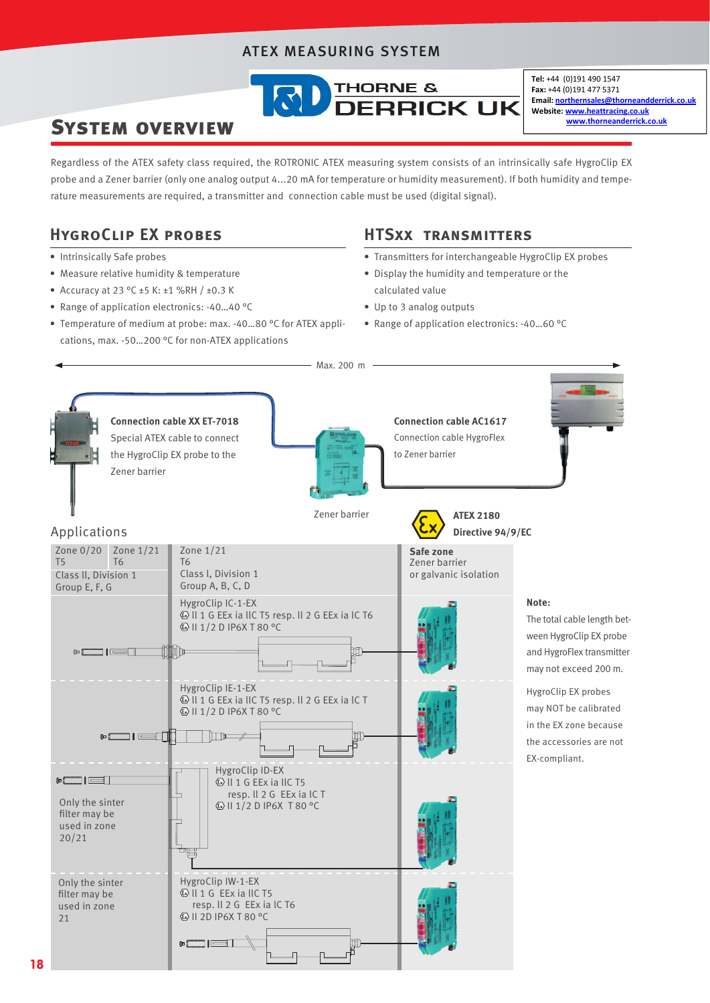## ATEX MEASURING SYSTEM



Tel: +44 (0)191 490 1547 Fax: +44 (0)191 477 5371 Email: northernsales@thorneandderrick.co.uk Website: www.heattracing.co.uk www.thorneanderrick.co.uk

# System overview

Regardless of the ATEX safety class required, the ROTRONIC ATEX measuring system consists of an intrinsically safe HygroClip EX probe and a Zener barrier (only one analog output 4...20 mA for temperature or humidity measurement). If both humidity and temperature measurements are required, a transmitter and connection cable must be used (digital signal).

# **HygroClip EX probes**

- Intrinsically Safe probes
- Measure relative humidity & temperature
- Accuracy at 23 °C ±5 K: ±1 %RH / ±0.3 K
- Range of application electronics: -40…40 °C
- Temperature of medium at probe: max. -40…80 °C for ATEX applications, max. -50…200 °C for non-ATEX applications

## **HTSxx transmitters**

- Transmitters for interchangeable HygroClip EX probes
- Display the humidity and temperature or the calculated value
- Up to 3 analog outputs
- Range of application electronics: -40…60 °C